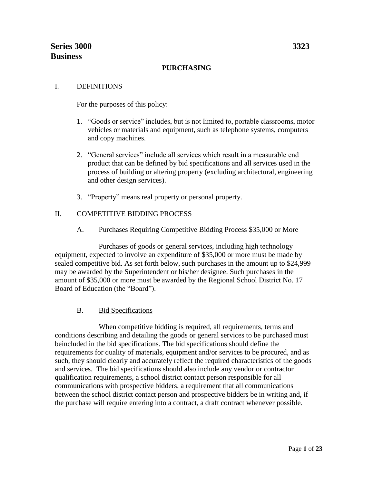#### **PURCHASING**

#### I. DEFINITIONS

For the purposes of this policy:

- 1. "Goods or service" includes, but is not limited to, portable classrooms, motor vehicles or materials and equipment, such as telephone systems, computers and copy machines.
- 2. "General services" include all services which result in a measurable end product that can be defined by bid specifications and all services used in the process of building or altering property (excluding architectural, engineering and other design services).
- 3. "Property" means real property or personal property.

### II. COMPETITIVE BIDDING PROCESS

A. Purchases Requiring Competitive Bidding Process \$35,000 or More

Purchases of goods or general services, including high technology equipment, expected to involve an expenditure of \$35,000 or more must be made by sealed competitive bid. As set forth below, such purchases in the amount up to \$24,999 may be awarded by the Superintendent or his/her designee. Such purchases in the amount of \$35,000 or more must be awarded by the Regional School District No. 17 Board of Education (the "Board").

### B. Bid Specifications

 When competitive bidding is required, all requirements, terms and conditions describing and detailing the goods or general services to be purchased must beincluded in the bid specifications. The bid specifications should define the requirements for quality of materials, equipment and/or services to be procured, and as such, they should clearly and accurately reflect the required characteristics of the goods and services. The bid specifications should also include any vendor or contractor qualification requirements, a school district contact person responsible for all communications with prospective bidders, a requirement that all communications between the school district contact person and prospective bidders be in writing and, if the purchase will require entering into a contract, a draft contract whenever possible.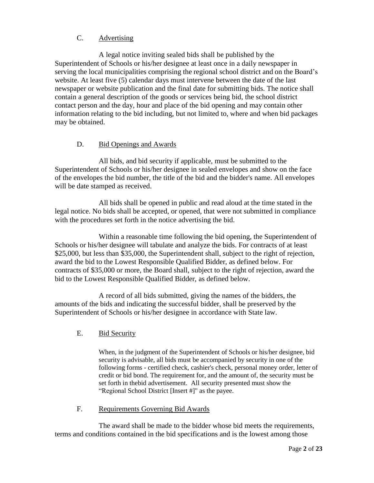# C. Advertising

A legal notice inviting sealed bids shall be published by the Superintendent of Schools or his/her designee at least once in a daily newspaper in serving the local municipalities comprising the regional school district and on the Board's website. At least five (5) calendar days must intervene between the date of the last newspaper or website publication and the final date for submitting bids. The notice shall contain a general description of the goods or services being bid, the school district contact person and the day, hour and place of the bid opening and may contain other information relating to the bid including, but not limited to, where and when bid packages may be obtained.

### D. Bid Openings and Awards

All bids, and bid security if applicable, must be submitted to the Superintendent of Schools or his/her designee in sealed envelopes and show on the face of the envelopes the bid number, the title of the bid and the bidder's name. All envelopes will be date stamped as received.

All bids shall be opened in public and read aloud at the time stated in the legal notice. No bids shall be accepted, or opened, that were not submitted in compliance with the procedures set forth in the notice advertising the bid.

Within a reasonable time following the bid opening, the Superintendent of Schools or his/her designee will tabulate and analyze the bids. For contracts of at least \$25,000, but less than \$35,000, the Superintendent shall, subject to the right of rejection, award the bid to the Lowest Responsible Qualified Bidder, as defined below. For contracts of \$35,000 or more, the Board shall, subject to the right of rejection, award the bid to the Lowest Responsible Qualified Bidder, as defined below.

A record of all bids submitted, giving the names of the bidders, the amounts of the bids and indicating the successful bidder, shall be preserved by the Superintendent of Schools or his/her designee in accordance with State law.

E. Bid Security

When, in the judgment of the Superintendent of Schools or his/her designee, bid security is advisable, all bids must be accompanied by security in one of the following forms - certified check, cashier's check, personal money order, letter of credit or bid bond. The requirement for, and the amount of, the security must be set forth in thebid advertisement. All security presented must show the "Regional School District [Insert #]" as the payee.

### F. Requirements Governing Bid Awards

The award shall be made to the bidder whose bid meets the requirements, terms and conditions contained in the bid specifications and is the lowest among those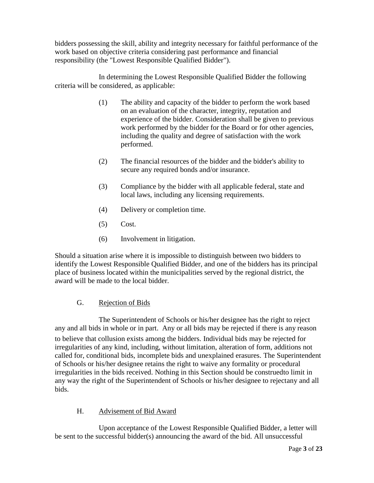bidders possessing the skill, ability and integrity necessary for faithful performance of the work based on objective criteria considering past performance and financial responsibility (the "Lowest Responsible Qualified Bidder").

In determining the Lowest Responsible Qualified Bidder the following criteria will be considered, as applicable:

- (1) The ability and capacity of the bidder to perform the work based on an evaluation of the character, integrity, reputation and experience of the bidder. Consideration shall be given to previous work performed by the bidder for the Board or for other agencies, including the quality and degree of satisfaction with the work performed.
- (2) The financial resources of the bidder and the bidder's ability to secure any required bonds and/or insurance.
- (3) Compliance by the bidder with all applicable federal, state and local laws, including any licensing requirements.
- (4) Delivery or completion time.
- (5) Cost.
- (6) Involvement in litigation.

Should a situation arise where it is impossible to distinguish between two bidders to identify the Lowest Responsible Qualified Bidder, and one of the bidders has its principal place of business located within the municipalities served by the regional district, the award will be made to the local bidder.

### G. Rejection of Bids

The Superintendent of Schools or his/her designee has the right to reject any and all bids in whole or in part. Any or all bids may be rejected if there is any reason to believe that collusion exists among the bidders. Individual bids may be rejected for irregularities of any kind, including, without limitation, alteration of form, additions not called for, conditional bids, incomplete bids and unexplained erasures. The Superintendent of Schools or his/her designee retains the right to waive any formality or procedural irregularities in the bids received. Nothing in this Section should be construedto limit in any way the right of the Superintendent of Schools or his/her designee to rejectany and all bids.

# H. Advisement of Bid Award

Upon acceptance of the Lowest Responsible Qualified Bidder, a letter will be sent to the successful bidder(s) announcing the award of the bid. All unsuccessful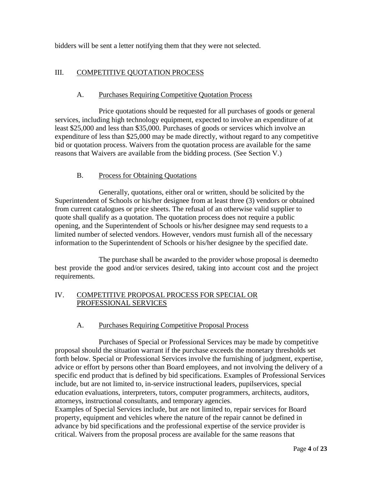bidders will be sent a letter notifying them that they were not selected.

# III. COMPETITIVE QUOTATION PROCESS

### A. Purchases Requiring Competitive Quotation Process

Price quotations should be requested for all purchases of goods or general services, including high technology equipment, expected to involve an expenditure of at least \$25,000 and less than \$35,000. Purchases of goods or services which involve an expenditure of less than \$25,000 may be made directly, without regard to any competitive bid or quotation process. Waivers from the quotation process are available for the same reasons that Waivers are available from the bidding process. (See Section V.)

### B. Process for Obtaining Quotations

Generally, quotations, either oral or written, should be solicited by the Superintendent of Schools or his/her designee from at least three (3) vendors or obtained from current catalogues or price sheets. The refusal of an otherwise valid supplier to quote shall qualify as a quotation. The quotation process does not require a public opening, and the Superintendent of Schools or his/her designee may send requests to a limited number of selected vendors. However, vendors must furnish all of the necessary information to the Superintendent of Schools or his/her designee by the specified date.

The purchase shall be awarded to the provider whose proposal is deemedto best provide the good and/or services desired, taking into account cost and the project requirements.

### IV. COMPETITIVE PROPOSAL PROCESS FOR SPECIAL OR PROFESSIONAL SERVICES

### A. Purchases Requiring Competitive Proposal Process

Purchases of Special or Professional Services may be made by competitive proposal should the situation warrant if the purchase exceeds the monetary thresholds set forth below. Special or Professional Services involve the furnishing of judgment, expertise, advice or effort by persons other than Board employees, and not involving the delivery of a specific end product that is defined by bid specifications. Examples of Professional Services include, but are not limited to, in-service instructional leaders, pupilservices, special education evaluations, interpreters, tutors, computer programmers, architects, auditors, attorneys, instructional consultants, and temporary agencies.

Examples of Special Services include, but are not limited to, repair services for Board property, equipment and vehicles where the nature of the repair cannot be defined in advance by bid specifications and the professional expertise of the service provider is critical. Waivers from the proposal process are available for the same reasons that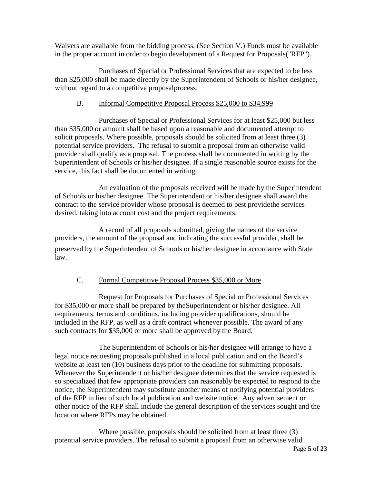Waivers are available from the bidding process. (See Section V.) Funds must be available in the proper account in order to begin development of a Request for Proposals("RFP").

Purchases of Special or Professional Services that are expected to be less than \$25,000 shall be made directly by the Superintendent of Schools or his/her designee, without regard to a competitive proposalprocess.

# B. Informal Competitive Proposal Process \$25,000 to \$34,999

Purchases of Special or Professional Services for at least \$25,000 but less than \$35,000 or amount shall be based upon a reasonable and documented attempt to solicit proposals. Where possible, proposals should be solicited from at least three (3) potential service providers. The refusal to submit a proposal from an otherwise valid provider shall qualify as a proposal. The process shall be documented in writing by the Superintendent of Schools or his/her designee. If a single reasonable source exists for the service, this fact shall be documented in writing.

An evaluation of the proposals received will be made by the Superintendent of Schools or his/her designee. The Superintendent or his/her designee shall award the contract to the service provider whose proposal is deemed to best providethe services desired, taking into account cost and the project requirements.

A record of all proposals submitted, giving the names of the service providers, the amount of the proposal and indicating the successful provider, shall be preserved by the Superintendent of Schools or his/her designee in accordance with State law.

### C. Formal Competitive Proposal Process \$35,000 or More

Request for Proposals for Purchases of Special or Professional Services for \$35,000 or more shall be prepared by theSuperintendent or his/her designee. All requirements, terms and conditions, including provider qualifications, should be included in the RFP, as well as a draft contract whenever possible. The award of any such contracts for \$35,000 or more shall be approved by the Board.

The Superintendent of Schools or his/her designee will arrange to have a legal notice requesting proposals published in a local publication and on the Board's website at least ten (10) business days prior to the deadline for submitting proposals. Whenever the Superintendent or his/her designee determines that the service requested is so specialized that few appropriate providers can reasonably be expected to respond to the notice, the Superintendent may substitute another means of notifying potential providers of the RFP in lieu of such local publication and website notice. Any advertisement or other notice of the RFP shall include the general description of the services sought and the location where RFPs may be obtained.

Where possible, proposals should be solicited from at least three (3) potential service providers. The refusal to submit a proposal from an otherwise valid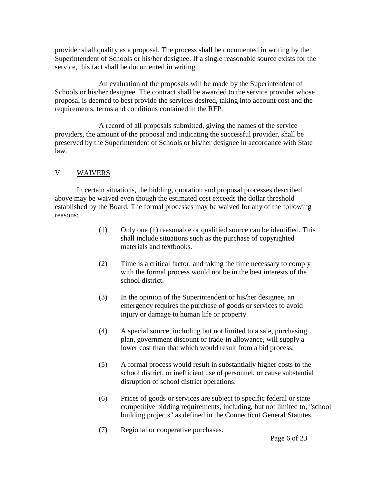provider shall qualify as a proposal. The process shall be documented in writing by the Superintendent of Schools or his/her designee. If a single reasonable source exists for the service, this fact shall be documented in writing.

An evaluation of the proposals will be made by the Superintendent of Schools or his/her designee. The contract shall be awarded to the service provider whose proposal is deemed to best provide the services desired, taking into account cost and the requirements, terms and conditions contained in the RFP.

A record of all proposals submitted, giving the names of the service providers, the amount of the proposal and indicating the successful provider, shall be preserved by the Superintendent of Schools or his/her designee in accordance with State law.

### V. WAIVERS

In certain situations, the bidding, quotation and proposal processes described above may be waived even though the estimated cost exceeds the dollar threshold established by the Board. The formal processes may be waived for any of the following reasons:

- (1) Only one (1) reasonable or qualified source can be identified. This shall include situations such as the purchase of copyrighted materials and textbooks.
- (2) Time is a critical factor, and taking the time necessary to comply with the formal process would not be in the best interests of the school district.
- (3) In the opinion of the Superintendent or his/her designee, an emergency requires the purchase of goods or services to avoid injury or damage to human life or property.
- (4) A special source, including but not limited to a sale, purchasing plan, government discount or trade-in allowance, will supply a lower cost than that which would result from a bid process.
- (5) A formal process would result in substantially higher costs to the school district, or inefficient use of personnel, or cause substantial disruption of school district operations.
- (6) Prices of goods or services are subject to specific federal or state competitive bidding requirements, including, but not limited to, "school building projects" as defined in the Connecticut General Statutes.
- (7) Regional or cooperative purchases.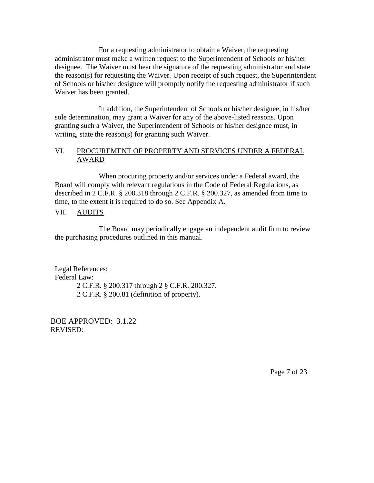For a requesting administrator to obtain a Waiver, the requesting administrator must make a written request to the Superintendent of Schools or his/her designee. The Waiver must bear the signature of the requesting administrator and state the reason(s) for requesting the Waiver. Upon receipt of such request, the Superintendent of Schools or his/her designee will promptly notify the requesting administrator if such Waiver has been granted.

In addition, the Superintendent of Schools or his/her designee, in his/her sole determination, may grant a Waiver for any of the above-listed reasons. Upon granting such a Waiver, the Superintendent of Schools or his/her designee must, in writing, state the reason(s) for granting such Waiver.

#### VI. PROCUREMENT OF PROPERTY AND SERVICES UNDER A FEDERAL AWARD

When procuring property and/or services under a Federal award, the Board will comply with relevant regulations in the Code of Federal Regulations, as described in 2 C.F.R. § 200.318 through 2 C.F.R. § 200.327, as amended from time to time, to the extent it is required to do so. See Appendix A.

### VII. AUDITS

The Board may periodically engage an independent audit firm to review the purchasing procedures outlined in this manual.

Legal References: Federal Law: 2 C.F.R. § 200.317 through 2 § C.F.R. 200.327. 2 C.F.R. § 200.81 (definition of property).

BOE APPROVED: 3.1.22 REVISED:

Page 7 of 23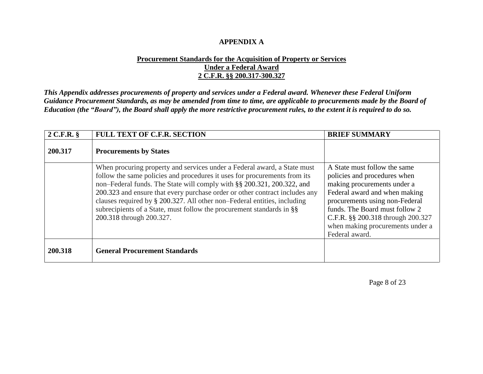### **APPENDIX A**

### **Procurement Standards for the Acquisition of Property or Services Under a Federal Award 2 C.F.R. §§ 200.317-300.327**

*This Appendix addresses procurements of property and services under a Federal award. Whenever these Federal Uniform Guidance Procurement Standards, as may be amended from time to time, are applicable to procurements made by the Board of Education (the "Board"), the Board shall apply the more restrictive procurement rules, to the extent it is required to do so.*

| $2$ C.F.R. $§$ | <b>FULL TEXT OF C.F.R. SECTION</b>                                                                                                                                                                                                                                                                                                                                                                                                                                                                  | <b>BRIEF SUMMARY</b>                                                                                                                                                                                                                                                                        |
|----------------|-----------------------------------------------------------------------------------------------------------------------------------------------------------------------------------------------------------------------------------------------------------------------------------------------------------------------------------------------------------------------------------------------------------------------------------------------------------------------------------------------------|---------------------------------------------------------------------------------------------------------------------------------------------------------------------------------------------------------------------------------------------------------------------------------------------|
| 200.317        | <b>Procurements by States</b>                                                                                                                                                                                                                                                                                                                                                                                                                                                                       |                                                                                                                                                                                                                                                                                             |
|                | When procuring property and services under a Federal award, a State must<br>follow the same policies and procedures it uses for procurements from its<br>non-Federal funds. The State will comply with §§ 200.321, 200.322, and<br>200.323 and ensure that every purchase order or other contract includes any<br>clauses required by $\S 200.327$ . All other non-Federal entities, including<br>subrecipients of a State, must follow the procurement standards in §§<br>200.318 through 200.327. | A State must follow the same<br>policies and procedures when<br>making procurements under a<br>Federal award and when making<br>procurements using non-Federal<br>funds. The Board must follow 2<br>C.F.R. §§ 200.318 through 200.327<br>when making procurements under a<br>Federal award. |
| 200.318        | <b>General Procurement Standards</b>                                                                                                                                                                                                                                                                                                                                                                                                                                                                |                                                                                                                                                                                                                                                                                             |

Page 8 of 23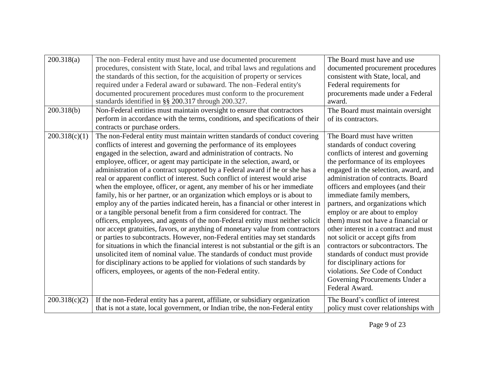| 200.318(a)<br>200.318(b) | The non-Federal entity must have and use documented procurement<br>procedures, consistent with State, local, and tribal laws and regulations and<br>the standards of this section, for the acquisition of property or services<br>required under a Federal award or subaward. The non-Federal entity's<br>documented procurement procedures must conform to the procurement<br>standards identified in §§ 200.317 through 200.327.<br>Non-Federal entities must maintain oversight to ensure that contractors<br>perform in accordance with the terms, conditions, and specifications of their<br>contracts or purchase orders.                                                                                                                                                                                                                                                                                                                                                                                                                                                                                                                                                                                                                                                                                                                                | The Board must have and use<br>documented procurement procedures<br>consistent with State, local, and<br>Federal requirements for<br>procurements made under a Federal<br>award.<br>The Board must maintain oversight<br>of its contractors.                                                                                                                                                                                                                                                                                                                                                                                                                                       |
|--------------------------|----------------------------------------------------------------------------------------------------------------------------------------------------------------------------------------------------------------------------------------------------------------------------------------------------------------------------------------------------------------------------------------------------------------------------------------------------------------------------------------------------------------------------------------------------------------------------------------------------------------------------------------------------------------------------------------------------------------------------------------------------------------------------------------------------------------------------------------------------------------------------------------------------------------------------------------------------------------------------------------------------------------------------------------------------------------------------------------------------------------------------------------------------------------------------------------------------------------------------------------------------------------------------------------------------------------------------------------------------------------|------------------------------------------------------------------------------------------------------------------------------------------------------------------------------------------------------------------------------------------------------------------------------------------------------------------------------------------------------------------------------------------------------------------------------------------------------------------------------------------------------------------------------------------------------------------------------------------------------------------------------------------------------------------------------------|
| 200.318(c)(1)            | The non-Federal entity must maintain written standards of conduct covering<br>conflicts of interest and governing the performance of its employees<br>engaged in the selection, award and administration of contracts. No<br>employee, officer, or agent may participate in the selection, award, or<br>administration of a contract supported by a Federal award if he or she has a<br>real or apparent conflict of interest. Such conflict of interest would arise<br>when the employee, officer, or agent, any member of his or her immediate<br>family, his or her partner, or an organization which employs or is about to<br>employ any of the parties indicated herein, has a financial or other interest in<br>or a tangible personal benefit from a firm considered for contract. The<br>officers, employees, and agents of the non-Federal entity must neither solicit<br>nor accept gratuities, favors, or anything of monetary value from contractors<br>or parties to subcontracts. However, non-Federal entities may set standards<br>for situations in which the financial interest is not substantial or the gift is an<br>unsolicited item of nominal value. The standards of conduct must provide<br>for disciplinary actions to be applied for violations of such standards by<br>officers, employees, or agents of the non-Federal entity. | The Board must have written<br>standards of conduct covering<br>conflicts of interest and governing<br>the performance of its employees<br>engaged in the selection, award, and<br>administration of contracts. Board<br>officers and employees (and their<br>immediate family members,<br>partners, and organizations which<br>employ or are about to employ<br>them) must not have a financial or<br>other interest in a contract and must<br>not solicit or accept gifts from<br>contractors or subcontractors. The<br>standards of conduct must provide<br>for disciplinary actions for<br>violations. See Code of Conduct<br>Governing Procurements Under a<br>Federal Award. |
| 200.318(c)(2)            | If the non-Federal entity has a parent, affiliate, or subsidiary organization<br>that is not a state, local government, or Indian tribe, the non-Federal entity                                                                                                                                                                                                                                                                                                                                                                                                                                                                                                                                                                                                                                                                                                                                                                                                                                                                                                                                                                                                                                                                                                                                                                                                | The Board's conflict of interest<br>policy must cover relationships with                                                                                                                                                                                                                                                                                                                                                                                                                                                                                                                                                                                                           |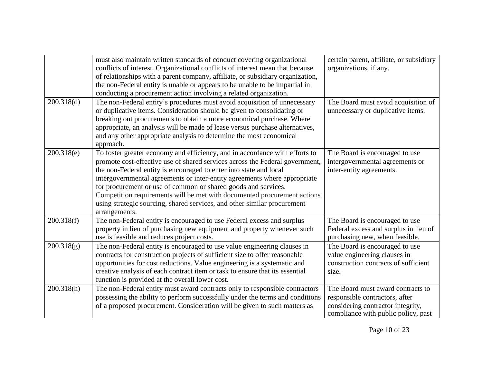|            | must also maintain written standards of conduct covering organizational<br>conflicts of interest. Organizational conflicts of interest mean that because<br>of relationships with a parent company, affiliate, or subsidiary organization,<br>the non-Federal entity is unable or appears to be unable to be impartial in<br>conducting a procurement action involving a related organization.                                                                                                                                                            | certain parent, affiliate, or subsidiary<br>organizations, if any.                                                                              |
|------------|-----------------------------------------------------------------------------------------------------------------------------------------------------------------------------------------------------------------------------------------------------------------------------------------------------------------------------------------------------------------------------------------------------------------------------------------------------------------------------------------------------------------------------------------------------------|-------------------------------------------------------------------------------------------------------------------------------------------------|
| 200.318(d) | The non-Federal entity's procedures must avoid acquisition of unnecessary<br>or duplicative items. Consideration should be given to consolidating or<br>breaking out procurements to obtain a more economical purchase. Where<br>appropriate, an analysis will be made of lease versus purchase alternatives,<br>and any other appropriate analysis to determine the most economical<br>approach.                                                                                                                                                         | The Board must avoid acquisition of<br>unnecessary or duplicative items.                                                                        |
| 200.318(e) | To foster greater economy and efficiency, and in accordance with efforts to<br>promote cost-effective use of shared services across the Federal government,<br>the non-Federal entity is encouraged to enter into state and local<br>intergovernmental agreements or inter-entity agreements where appropriate<br>for procurement or use of common or shared goods and services.<br>Competition requirements will be met with documented procurement actions<br>using strategic sourcing, shared services, and other similar procurement<br>arrangements. | The Board is encouraged to use<br>intergovernmental agreements or<br>inter-entity agreements.                                                   |
| 200.318(f) | The non-Federal entity is encouraged to use Federal excess and surplus<br>property in lieu of purchasing new equipment and property whenever such<br>use is feasible and reduces project costs.                                                                                                                                                                                                                                                                                                                                                           | The Board is encouraged to use<br>Federal excess and surplus in lieu of<br>purchasing new, when feasible.                                       |
| 200.318(g) | The non-Federal entity is encouraged to use value engineering clauses in<br>contracts for construction projects of sufficient size to offer reasonable<br>opportunities for cost reductions. Value engineering is a systematic and<br>creative analysis of each contract item or task to ensure that its essential<br>function is provided at the overall lower cost.                                                                                                                                                                                     | The Board is encouraged to use<br>value engineering clauses in<br>construction contracts of sufficient<br>size.                                 |
| 200.318(h) | The non-Federal entity must award contracts only to responsible contractors<br>possessing the ability to perform successfully under the terms and conditions<br>of a proposed procurement. Consideration will be given to such matters as                                                                                                                                                                                                                                                                                                                 | The Board must award contracts to<br>responsible contractors, after<br>considering contractor integrity,<br>compliance with public policy, past |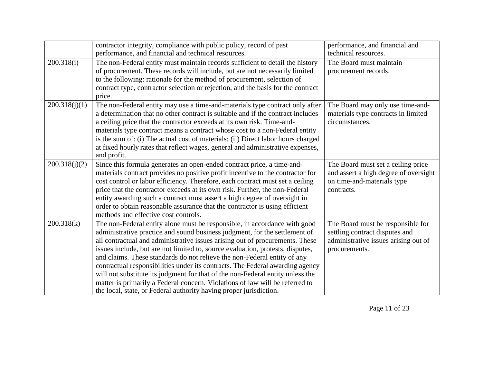|               | contractor integrity, compliance with public policy, record of past              | performance, and financial and        |
|---------------|----------------------------------------------------------------------------------|---------------------------------------|
|               | performance, and financial and technical resources.                              | technical resources.                  |
| 200.318(i)    | The non-Federal entity must maintain records sufficient to detail the history    | The Board must maintain               |
|               | of procurement. These records will include, but are not necessarily limited      | procurement records.                  |
|               | to the following: rationale for the method of procurement, selection of          |                                       |
|               | contract type, contractor selection or rejection, and the basis for the contract |                                       |
|               | price.                                                                           |                                       |
| 200.318(j)(1) | The non-Federal entity may use a time-and-materials type contract only after     | The Board may only use time-and-      |
|               | a determination that no other contract is suitable and if the contract includes  | materials type contracts in limited   |
|               | a ceiling price that the contractor exceeds at its own risk. Time-and-           | circumstances.                        |
|               | materials type contract means a contract whose cost to a non-Federal entity      |                                       |
|               | is the sum of: (i) The actual cost of materials; (ii) Direct labor hours charged |                                       |
|               | at fixed hourly rates that reflect wages, general and administrative expenses,   |                                       |
|               | and profit.                                                                      |                                       |
| 200.318(j)(2) | Since this formula generates an open-ended contract price, a time-and-           | The Board must set a ceiling price    |
|               | materials contract provides no positive profit incentive to the contractor for   | and assert a high degree of oversight |
|               | cost control or labor efficiency. Therefore, each contract must set a ceiling    | on time-and-materials type            |
|               | price that the contractor exceeds at its own risk. Further, the non-Federal      | contracts.                            |
|               | entity awarding such a contract must assert a high degree of oversight in        |                                       |
|               | order to obtain reasonable assurance that the contractor is using efficient      |                                       |
|               | methods and effective cost controls.                                             |                                       |
| 200.318(k)    | The non-Federal entity alone must be responsible, in accordance with good        | The Board must be responsible for     |
|               | administrative practice and sound business judgment, for the settlement of       | settling contract disputes and        |
|               | all contractual and administrative issues arising out of procurements. These     | administrative issues arising out of  |
|               | issues include, but are not limited to, source evaluation, protests, disputes,   | procurements.                         |
|               | and claims. These standards do not relieve the non-Federal entity of any         |                                       |
|               | contractual responsibilities under its contracts. The Federal awarding agency    |                                       |
|               | will not substitute its judgment for that of the non-Federal entity unless the   |                                       |
|               | matter is primarily a Federal concern. Violations of law will be referred to     |                                       |
|               | the local, state, or Federal authority having proper jurisdiction.               |                                       |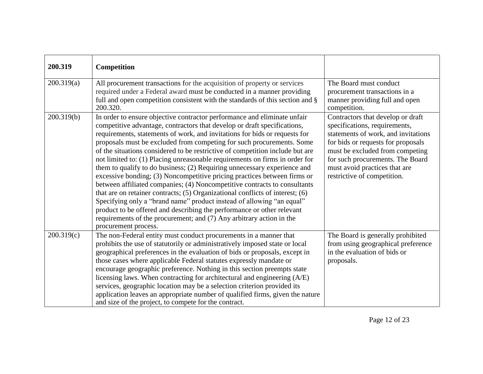| 200.319    | Competition                                                                                                                                                                                                                                                                                                                                                                                                                                                                                                                                                                                                                                                                                                                                                                                                                                                                                                                                                                                                                                          |                                                                                                                                                                                                                                                                                        |
|------------|------------------------------------------------------------------------------------------------------------------------------------------------------------------------------------------------------------------------------------------------------------------------------------------------------------------------------------------------------------------------------------------------------------------------------------------------------------------------------------------------------------------------------------------------------------------------------------------------------------------------------------------------------------------------------------------------------------------------------------------------------------------------------------------------------------------------------------------------------------------------------------------------------------------------------------------------------------------------------------------------------------------------------------------------------|----------------------------------------------------------------------------------------------------------------------------------------------------------------------------------------------------------------------------------------------------------------------------------------|
| 200.319(a) | All procurement transactions for the acquisition of property or services<br>required under a Federal award must be conducted in a manner providing<br>full and open competition consistent with the standards of this section and §<br>200.320.                                                                                                                                                                                                                                                                                                                                                                                                                                                                                                                                                                                                                                                                                                                                                                                                      | The Board must conduct<br>procurement transactions in a<br>manner providing full and open<br>competition.                                                                                                                                                                              |
| 200.319(b) | In order to ensure objective contractor performance and eliminate unfair<br>competitive advantage, contractors that develop or draft specifications,<br>requirements, statements of work, and invitations for bids or requests for<br>proposals must be excluded from competing for such procurements. Some<br>of the situations considered to be restrictive of competition include but are<br>not limited to: (1) Placing unreasonable requirements on firms in order for<br>them to qualify to do business; (2) Requiring unnecessary experience and<br>excessive bonding; (3) Noncompetitive pricing practices between firms or<br>between affiliated companies; (4) Noncompetitive contracts to consultants<br>that are on retainer contracts; (5) Organizational conflicts of interest; (6)<br>Specifying only a "brand name" product instead of allowing "an equal"<br>product to be offered and describing the performance or other relevant<br>requirements of the procurement; and (7) Any arbitrary action in the<br>procurement process. | Contractors that develop or draft<br>specifications, requirements,<br>statements of work, and invitations<br>for bids or requests for proposals<br>must be excluded from competing<br>for such procurements. The Board<br>must avoid practices that are<br>restrictive of competition. |
| 200.319(c) | The non-Federal entity must conduct procurements in a manner that<br>prohibits the use of statutorily or administratively imposed state or local<br>geographical preferences in the evaluation of bids or proposals, except in<br>those cases where applicable Federal statutes expressly mandate or<br>encourage geographic preference. Nothing in this section preempts state<br>licensing laws. When contracting for architectural and engineering (A/E)<br>services, geographic location may be a selection criterion provided its<br>application leaves an appropriate number of qualified firms, given the nature<br>and size of the project, to compete for the contract.                                                                                                                                                                                                                                                                                                                                                                     | The Board is generally prohibited<br>from using geographical preference<br>in the evaluation of bids or<br>proposals.                                                                                                                                                                  |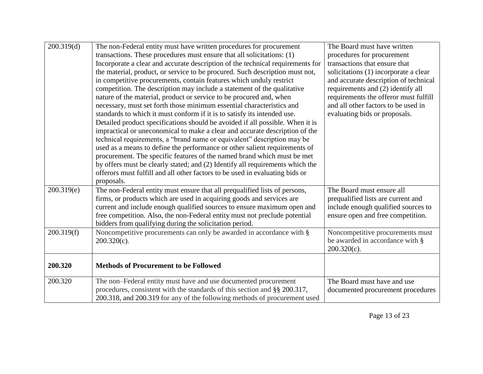| 200.319(d) | The non-Federal entity must have written procedures for procurement<br>transactions. These procedures must ensure that all solicitations: (1)<br>Incorporate a clear and accurate description of the technical requirements for<br>the material, product, or service to be procured. Such description must not,<br>in competitive procurements, contain features which unduly restrict<br>competition. The description may include a statement of the qualitative<br>nature of the material, product or service to be procured and, when<br>necessary, must set forth those minimum essential characteristics and<br>standards to which it must conform if it is to satisfy its intended use. | The Board must have written<br>procedures for procurement<br>transactions that ensure that<br>solicitations (1) incorporate a clear<br>and accurate description of technical<br>requirements and (2) identify all<br>requirements the offeror must fulfill<br>and all other factors to be used in<br>evaluating bids or proposals. |
|------------|-----------------------------------------------------------------------------------------------------------------------------------------------------------------------------------------------------------------------------------------------------------------------------------------------------------------------------------------------------------------------------------------------------------------------------------------------------------------------------------------------------------------------------------------------------------------------------------------------------------------------------------------------------------------------------------------------|------------------------------------------------------------------------------------------------------------------------------------------------------------------------------------------------------------------------------------------------------------------------------------------------------------------------------------|
|            | Detailed product specifications should be avoided if all possible. When it is<br>impractical or uneconomical to make a clear and accurate description of the<br>technical requirements, a "brand name or equivalent" description may be<br>used as a means to define the performance or other salient requirements of<br>procurement. The specific features of the named brand which must be met<br>by offers must be clearly stated; and (2) Identify all requirements which the<br>offerors must fulfill and all other factors to be used in evaluating bids or<br>proposals.                                                                                                               |                                                                                                                                                                                                                                                                                                                                    |
| 200.319(e) | The non-Federal entity must ensure that all prequalified lists of persons,<br>firms, or products which are used in acquiring goods and services are<br>current and include enough qualified sources to ensure maximum open and<br>free competition. Also, the non-Federal entity must not preclude potential<br>bidders from qualifying during the solicitation period.                                                                                                                                                                                                                                                                                                                       | The Board must ensure all<br>prequalified lists are current and<br>include enough qualified sources to<br>ensure open and free competition.                                                                                                                                                                                        |
| 200.319(f) | Noncompetitive procurements can only be awarded in accordance with §<br>$200.320(c)$ .                                                                                                                                                                                                                                                                                                                                                                                                                                                                                                                                                                                                        | Noncompetitive procurements must<br>be awarded in accordance with §<br>$200.320(c)$ .                                                                                                                                                                                                                                              |
| 200.320    | <b>Methods of Procurement to be Followed</b>                                                                                                                                                                                                                                                                                                                                                                                                                                                                                                                                                                                                                                                  |                                                                                                                                                                                                                                                                                                                                    |
| 200.320    | The non-Federal entity must have and use documented procurement<br>procedures, consistent with the standards of this section and §§ 200.317,<br>200.318, and 200.319 for any of the following methods of procurement used                                                                                                                                                                                                                                                                                                                                                                                                                                                                     | The Board must have and use<br>documented procurement procedures                                                                                                                                                                                                                                                                   |

Page 13 of 23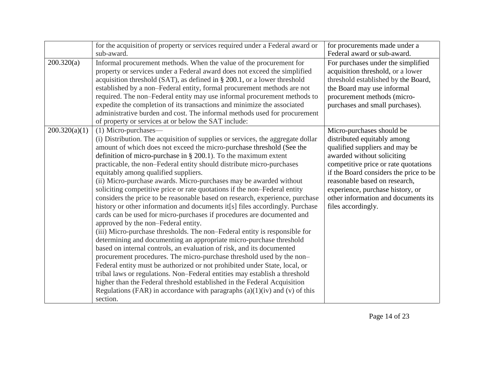|               | for the acquisition of property or services required under a Federal award or<br>sub-award.                                                                                                                                                                                                                                                                                                                                                                                                                                                                                                                                                                                                                                                                                                                                                                                                                                                                                                                                                                                                                                                                                                                                                                                                                                                                                                                                                              | for procurements made under a<br>Federal award or sub-award.                                                                                                                                                                                                                                                                                 |
|---------------|----------------------------------------------------------------------------------------------------------------------------------------------------------------------------------------------------------------------------------------------------------------------------------------------------------------------------------------------------------------------------------------------------------------------------------------------------------------------------------------------------------------------------------------------------------------------------------------------------------------------------------------------------------------------------------------------------------------------------------------------------------------------------------------------------------------------------------------------------------------------------------------------------------------------------------------------------------------------------------------------------------------------------------------------------------------------------------------------------------------------------------------------------------------------------------------------------------------------------------------------------------------------------------------------------------------------------------------------------------------------------------------------------------------------------------------------------------|----------------------------------------------------------------------------------------------------------------------------------------------------------------------------------------------------------------------------------------------------------------------------------------------------------------------------------------------|
| 200.320(a)    | Informal procurement methods. When the value of the procurement for<br>property or services under a Federal award does not exceed the simplified<br>acquisition threshold (SAT), as defined in $\S 200.1$ , or a lower threshold<br>established by a non-Federal entity, formal procurement methods are not<br>required. The non-Federal entity may use informal procurement methods to<br>expedite the completion of its transactions and minimize the associated<br>administrative burden and cost. The informal methods used for procurement<br>of property or services at or below the SAT include:                                                                                                                                                                                                                                                                                                                                                                                                                                                                                                                                                                                                                                                                                                                                                                                                                                                  | For purchases under the simplified<br>acquisition threshold, or a lower<br>threshold established by the Board,<br>the Board may use informal<br>procurement methods (micro-<br>purchases and small purchases).                                                                                                                               |
| 200.320(a)(1) | (1) Micro-purchases—<br>(i) Distribution. The acquisition of supplies or services, the aggregate dollar<br>amount of which does not exceed the micro-purchase threshold (See the<br>definition of micro-purchase in $\S$ 200.1). To the maximum extent<br>practicable, the non-Federal entity should distribute micro-purchases<br>equitably among qualified suppliers.<br>(ii) Micro-purchase awards. Micro-purchases may be awarded without<br>soliciting competitive price or rate quotations if the non-Federal entity<br>considers the price to be reasonable based on research, experience, purchase<br>history or other information and documents it[s] files accordingly. Purchase<br>cards can be used for micro-purchases if procedures are documented and<br>approved by the non-Federal entity.<br>(iii) Micro-purchase thresholds. The non-Federal entity is responsible for<br>determining and documenting an appropriate micro-purchase threshold<br>based on internal controls, an evaluation of risk, and its documented<br>procurement procedures. The micro-purchase threshold used by the non-<br>Federal entity must be authorized or not prohibited under State, local, or<br>tribal laws or regulations. Non-Federal entities may establish a threshold<br>higher than the Federal threshold established in the Federal Acquisition<br>Regulations (FAR) in accordance with paragraphs $(a)(1)(iv)$ and $(v)$ of this<br>section. | Micro-purchases should be<br>distributed equitably among<br>qualified suppliers and may be<br>awarded without soliciting<br>competitive price or rate quotations<br>if the Board considers the price to be<br>reasonable based on research,<br>experience, purchase history, or<br>other information and documents its<br>files accordingly. |

Page 14 of 23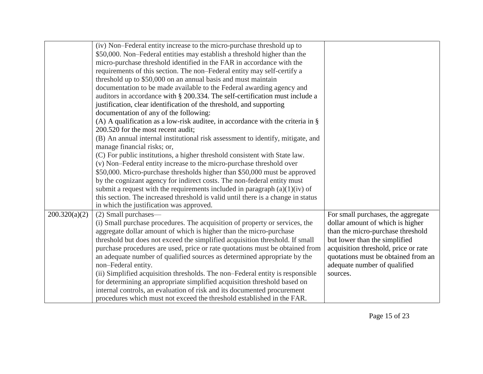|               | (iv) Non-Federal entity increase to the micro-purchase threshold up to             |                                      |
|---------------|------------------------------------------------------------------------------------|--------------------------------------|
|               | \$50,000. Non-Federal entities may establish a threshold higher than the           |                                      |
|               | micro-purchase threshold identified in the FAR in accordance with the              |                                      |
|               | requirements of this section. The non-Federal entity may self-certify a            |                                      |
|               | threshold up to \$50,000 on an annual basis and must maintain                      |                                      |
|               | documentation to be made available to the Federal awarding agency and              |                                      |
|               | auditors in accordance with § 200.334. The self-certification must include a       |                                      |
|               | justification, clear identification of the threshold, and supporting               |                                      |
|               | documentation of any of the following:                                             |                                      |
|               | (A) A qualification as a low-risk auditee, in accordance with the criteria in $\S$ |                                      |
|               | 200.520 for the most recent audit;                                                 |                                      |
|               | (B) An annual internal institutional risk assessment to identify, mitigate, and    |                                      |
|               | manage financial risks; or,                                                        |                                      |
|               | (C) For public institutions, a higher threshold consistent with State law.         |                                      |
|               | (v) Non-Federal entity increase to the micro-purchase threshold over               |                                      |
|               | \$50,000. Micro-purchase thresholds higher than \$50,000 must be approved          |                                      |
|               | by the cognizant agency for indirect costs. The non-federal entity must            |                                      |
|               | submit a request with the requirements included in paragraph $(a)(1)(iv)$ of       |                                      |
|               | this section. The increased threshold is valid until there is a change in status   |                                      |
|               | in which the justification was approved.                                           |                                      |
| 200.320(a)(2) | (2) Small purchases—                                                               | For small purchases, the aggregate   |
|               | (i) Small purchase procedures. The acquisition of property or services, the        | dollar amount of which is higher     |
|               | aggregate dollar amount of which is higher than the micro-purchase                 | than the micro-purchase threshold    |
|               | threshold but does not exceed the simplified acquisition threshold. If small       | but lower than the simplified        |
|               | purchase procedures are used, price or rate quotations must be obtained from       | acquisition threshold, price or rate |
|               | an adequate number of qualified sources as determined appropriate by the           | quotations must be obtained from an  |
|               | non-Federal entity.                                                                | adequate number of qualified         |
|               | (ii) Simplified acquisition thresholds. The non-Federal entity is responsible      | sources.                             |
|               | for determining an appropriate simplified acquisition threshold based on           |                                      |
|               | internal controls, an evaluation of risk and its documented procurement            |                                      |
|               | procedures which must not exceed the threshold established in the FAR.             |                                      |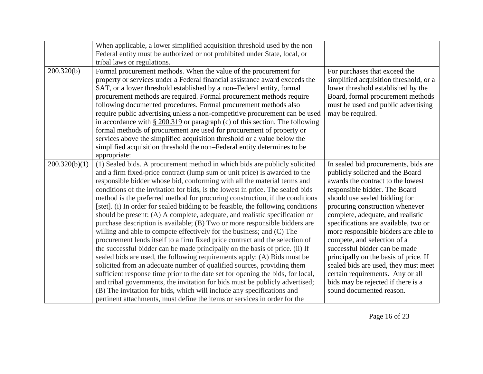|               | When applicable, a lower simplified acquisition threshold used by the non-<br>Federal entity must be authorized or not prohibited under State, local, or                                                                                                                                                                                                                                                                                                                                                                                                                                                                                                                                                                                                                                                                                                                                                                                                                                                                                                                                                                                                                                                                                                                                                                                                                         |                                                                                                                                                                                                                                                                                                                                                                                                                                                                                                                                                                                                |
|---------------|----------------------------------------------------------------------------------------------------------------------------------------------------------------------------------------------------------------------------------------------------------------------------------------------------------------------------------------------------------------------------------------------------------------------------------------------------------------------------------------------------------------------------------------------------------------------------------------------------------------------------------------------------------------------------------------------------------------------------------------------------------------------------------------------------------------------------------------------------------------------------------------------------------------------------------------------------------------------------------------------------------------------------------------------------------------------------------------------------------------------------------------------------------------------------------------------------------------------------------------------------------------------------------------------------------------------------------------------------------------------------------|------------------------------------------------------------------------------------------------------------------------------------------------------------------------------------------------------------------------------------------------------------------------------------------------------------------------------------------------------------------------------------------------------------------------------------------------------------------------------------------------------------------------------------------------------------------------------------------------|
| 200.320(b)    | tribal laws or regulations.<br>Formal procurement methods. When the value of the procurement for<br>property or services under a Federal financial assistance award exceeds the<br>SAT, or a lower threshold established by a non-Federal entity, formal<br>procurement methods are required. Formal procurement methods require<br>following documented procedures. Formal procurement methods also<br>require public advertising unless a non-competitive procurement can be used<br>in accordance with $\S 200.319$ or paragraph (c) of this section. The following<br>formal methods of procurement are used for procurement of property or<br>services above the simplified acquisition threshold or a value below the<br>simplified acquisition threshold the non-Federal entity determines to be<br>appropriate:                                                                                                                                                                                                                                                                                                                                                                                                                                                                                                                                                          | For purchases that exceed the<br>simplified acquisition threshold, or a<br>lower threshold established by the<br>Board, formal procurement methods<br>must be used and public advertising<br>may be required.                                                                                                                                                                                                                                                                                                                                                                                  |
| 200.320(b)(1) | (1) Sealed bids. A procurement method in which bids are publicly solicited<br>and a firm fixed-price contract (lump sum or unit price) is awarded to the<br>responsible bidder whose bid, conforming with all the material terms and<br>conditions of the invitation for bids, is the lowest in price. The sealed bids<br>method is the preferred method for procuring construction, if the conditions<br>[stet]. (i) In order for sealed bidding to be feasible, the following conditions<br>should be present: (A) A complete, adequate, and realistic specification or<br>purchase description is available; (B) Two or more responsible bidders are<br>willing and able to compete effectively for the business; and (C) The<br>procurement lends itself to a firm fixed price contract and the selection of<br>the successful bidder can be made principally on the basis of price. (ii) If<br>sealed bids are used, the following requirements apply: (A) Bids must be<br>solicited from an adequate number of qualified sources, providing them<br>sufficient response time prior to the date set for opening the bids, for local,<br>and tribal governments, the invitation for bids must be publicly advertised;<br>(B) The invitation for bids, which will include any specifications and<br>pertinent attachments, must define the items or services in order for the | In sealed bid procurements, bids are<br>publicly solicited and the Board<br>awards the contract to the lowest<br>responsible bidder. The Board<br>should use sealed bidding for<br>procuring construction whenever<br>complete, adequate, and realistic<br>specifications are available, two or<br>more responsible bidders are able to<br>compete, and selection of a<br>successful bidder can be made<br>principally on the basis of price. If<br>sealed bids are used, they must meet<br>certain requirements. Any or all<br>bids may be rejected if there is a<br>sound documented reason. |

Page 16 of 23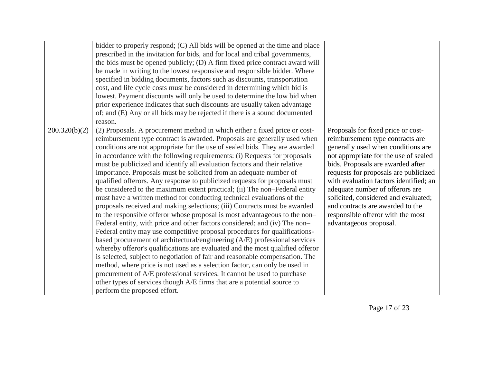|               | bidder to properly respond; (C) All bids will be opened at the time and place<br>prescribed in the invitation for bids, and for local and tribal governments,<br>the bids must be opened publicly; (D) A firm fixed price contract award will<br>be made in writing to the lowest responsive and responsible bidder. Where<br>specified in bidding documents, factors such as discounts, transportation<br>cost, and life cycle costs must be considered in determining which bid is<br>lowest. Payment discounts will only be used to determine the low bid when<br>prior experience indicates that such discounts are usually taken advantage<br>of; and (E) Any or all bids may be rejected if there is a sound documented<br>reason.                                                                                                                                                                                                                                                                                                                                                                                                                                                                                                                                                                                                                                                                                                                                                                                                               |                                                                                                                                                                                                                                                                                                                                                                                                                                                             |
|---------------|--------------------------------------------------------------------------------------------------------------------------------------------------------------------------------------------------------------------------------------------------------------------------------------------------------------------------------------------------------------------------------------------------------------------------------------------------------------------------------------------------------------------------------------------------------------------------------------------------------------------------------------------------------------------------------------------------------------------------------------------------------------------------------------------------------------------------------------------------------------------------------------------------------------------------------------------------------------------------------------------------------------------------------------------------------------------------------------------------------------------------------------------------------------------------------------------------------------------------------------------------------------------------------------------------------------------------------------------------------------------------------------------------------------------------------------------------------------------------------------------------------------------------------------------------------|-------------------------------------------------------------------------------------------------------------------------------------------------------------------------------------------------------------------------------------------------------------------------------------------------------------------------------------------------------------------------------------------------------------------------------------------------------------|
| 200.320(b)(2) | (2) Proposals. A procurement method in which either a fixed price or cost-<br>reimbursement type contract is awarded. Proposals are generally used when<br>conditions are not appropriate for the use of sealed bids. They are awarded<br>in accordance with the following requirements: (i) Requests for proposals<br>must be publicized and identify all evaluation factors and their relative<br>importance. Proposals must be solicited from an adequate number of<br>qualified offerors. Any response to publicized requests for proposals must<br>be considered to the maximum extent practical; (ii) The non-Federal entity<br>must have a written method for conducting technical evaluations of the<br>proposals received and making selections; (iii) Contracts must be awarded<br>to the responsible offeror whose proposal is most advantageous to the non-<br>Federal entity, with price and other factors considered; and (iv) The non-<br>Federal entity may use competitive proposal procedures for qualifications-<br>based procurement of architectural/engineering (A/E) professional services<br>whereby offeror's qualifications are evaluated and the most qualified offeror<br>is selected, subject to negotiation of fair and reasonable compensation. The<br>method, where price is not used as a selection factor, can only be used in<br>procurement of A/E professional services. It cannot be used to purchase<br>other types of services though A/E firms that are a potential source to<br>perform the proposed effort. | Proposals for fixed price or cost-<br>reimbursement type contracts are<br>generally used when conditions are<br>not appropriate for the use of sealed<br>bids. Proposals are awarded after<br>requests for proposals are publicized<br>with evaluation factors identified; an<br>adequate number of offerors are<br>solicited, considered and evaluated;<br>and contracts are awarded to the<br>responsible offeror with the most<br>advantageous proposal. |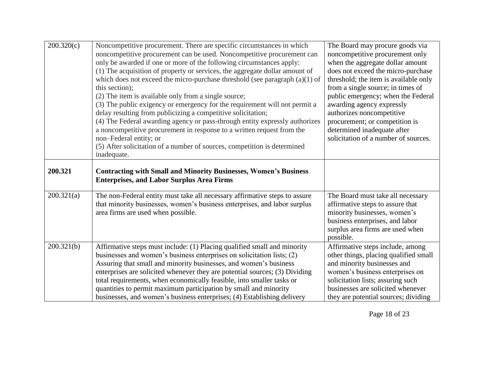| 200.320(c) | Noncompetitive procurement. There are specific circumstances in which<br>noncompetitive procurement can be used. Noncompetitive procurement can<br>only be awarded if one or more of the following circumstances apply:<br>(1) The acquisition of property or services, the aggregate dollar amount of<br>which does not exceed the micro-purchase threshold (see paragraph $(a)(1)$ of<br>this section);<br>(2) The item is available only from a single source;<br>(3) The public exigency or emergency for the requirement will not permit a<br>delay resulting from publicizing a competitive solicitation;<br>(4) The Federal awarding agency or pass-through entity expressly authorizes<br>a noncompetitive procurement in response to a written request from the<br>non-Federal entity; or<br>(5) After solicitation of a number of sources, competition is determined<br>inadequate. | The Board may procure goods via<br>noncompetitive procurement only<br>when the aggregate dollar amount<br>does not exceed the micro-purchase<br>threshold; the item is available only<br>from a single source; in times of<br>public emergency; when the Federal<br>awarding agency expressly<br>authorizes noncompetitive<br>procurement; or competition is<br>determined inadequate after<br>solicitation of a number of sources. |
|------------|-----------------------------------------------------------------------------------------------------------------------------------------------------------------------------------------------------------------------------------------------------------------------------------------------------------------------------------------------------------------------------------------------------------------------------------------------------------------------------------------------------------------------------------------------------------------------------------------------------------------------------------------------------------------------------------------------------------------------------------------------------------------------------------------------------------------------------------------------------------------------------------------------|-------------------------------------------------------------------------------------------------------------------------------------------------------------------------------------------------------------------------------------------------------------------------------------------------------------------------------------------------------------------------------------------------------------------------------------|
| 200.321    | <b>Contracting with Small and Minority Businesses, Women's Business</b><br><b>Enterprises, and Labor Surplus Area Firms</b>                                                                                                                                                                                                                                                                                                                                                                                                                                                                                                                                                                                                                                                                                                                                                                   |                                                                                                                                                                                                                                                                                                                                                                                                                                     |
| 200.321(a) | The non-Federal entity must take all necessary affirmative steps to assure<br>that minority businesses, women's business enterprises, and labor surplus<br>area firms are used when possible.                                                                                                                                                                                                                                                                                                                                                                                                                                                                                                                                                                                                                                                                                                 | The Board must take all necessary<br>affirmative steps to assure that<br>minority businesses, women's<br>business enterprises, and labor<br>surplus area firms are used when<br>possible.                                                                                                                                                                                                                                           |
| 200.321(b) | Affirmative steps must include: (1) Placing qualified small and minority<br>businesses and women's business enterprises on solicitation lists; (2)<br>Assuring that small and minority businesses, and women's business<br>enterprises are solicited whenever they are potential sources; (3) Dividing<br>total requirements, when economically feasible, into smaller tasks or<br>quantities to permit maximum participation by small and minority<br>businesses, and women's business enterprises; (4) Establishing delivery                                                                                                                                                                                                                                                                                                                                                                | Affirmative steps include, among<br>other things, placing qualified small<br>and minority businesses and<br>women's business enterprises on<br>solicitation lists; assuring such<br>businesses are solicited whenever<br>they are potential sources; dividing                                                                                                                                                                       |

Page 18 of 23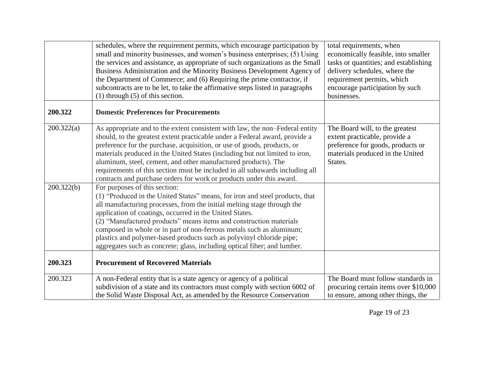|            | schedules, where the requirement permits, which encourage participation by<br>small and minority businesses, and women's business enterprises; (5) Using<br>the services and assistance, as appropriate of such organizations as the Small<br>Business Administration and the Minority Business Development Agency of<br>the Department of Commerce; and (6) Requiring the prime contractor, if                                                                                                                                                       | total requirements, when<br>economically feasible, into smaller<br>tasks or quantities; and establishing<br>delivery schedules, where the<br>requirement permits, which |
|------------|-------------------------------------------------------------------------------------------------------------------------------------------------------------------------------------------------------------------------------------------------------------------------------------------------------------------------------------------------------------------------------------------------------------------------------------------------------------------------------------------------------------------------------------------------------|-------------------------------------------------------------------------------------------------------------------------------------------------------------------------|
|            | subcontracts are to be let, to take the affirmative steps listed in paragraphs<br>$(1)$ through $(5)$ of this section.                                                                                                                                                                                                                                                                                                                                                                                                                                | encourage participation by such<br>businesses.                                                                                                                          |
| 200.322    | <b>Domestic Preferences for Procurements</b>                                                                                                                                                                                                                                                                                                                                                                                                                                                                                                          |                                                                                                                                                                         |
| 200.322(a) | As appropriate and to the extent consistent with law, the non-Federal entity<br>should, to the greatest extent practicable under a Federal award, provide a<br>preference for the purchase, acquisition, or use of goods, products, or<br>materials produced in the United States (including but not limited to iron,<br>aluminum, steel, cement, and other manufactured products). The<br>requirements of this section must be included in all subawards including all<br>contracts and purchase orders for work or products under this award.       | The Board will, to the greatest<br>extent practicable, provide a<br>preference for goods, products or<br>materials produced in the United<br>States.                    |
| 200.322(b) | For purposes of this section:<br>(1) "Produced in the United States" means, for iron and steel products, that<br>all manufacturing processes, from the initial melting stage through the<br>application of coatings, occurred in the United States.<br>(2) "Manufactured products" means items and construction materials<br>composed in whole or in part of non-ferrous metals such as aluminum;<br>plastics and polymer-based products such as polyvinyl chloride pipe;<br>aggregates such as concrete; glass, including optical fiber; and lumber. |                                                                                                                                                                         |
| 200.323    | <b>Procurement of Recovered Materials</b>                                                                                                                                                                                                                                                                                                                                                                                                                                                                                                             |                                                                                                                                                                         |
| 200.323    | A non-Federal entity that is a state agency or agency of a political<br>subdivision of a state and its contractors must comply with section 6002 of<br>the Solid Waste Disposal Act, as amended by the Resource Conservation                                                                                                                                                                                                                                                                                                                          | The Board must follow standards in<br>procuring certain items over \$10,000<br>to ensure, among other things, the                                                       |

Page 19 of 23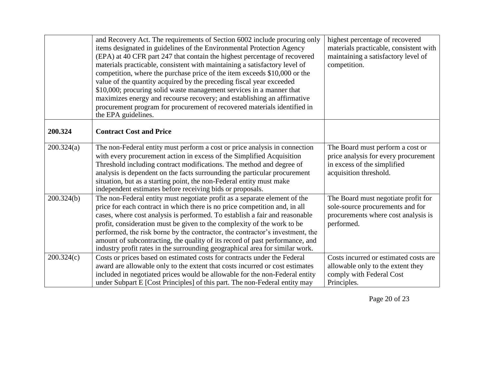|            | and Recovery Act. The requirements of Section 6002 include procuring only<br>items designated in guidelines of the Environmental Protection Agency<br>(EPA) at 40 CFR part 247 that contain the highest percentage of recovered<br>materials practicable, consistent with maintaining a satisfactory level of<br>competition, where the purchase price of the item exceeds \$10,000 or the<br>value of the quantity acquired by the preceding fiscal year exceeded<br>\$10,000; procuring solid waste management services in a manner that<br>maximizes energy and recourse recovery; and establishing an affirmative<br>procurement program for procurement of recovered materials identified in<br>the EPA guidelines. | highest percentage of recovered<br>materials practicable, consistent with<br>maintaining a satisfactory level of<br>competition.  |
|------------|--------------------------------------------------------------------------------------------------------------------------------------------------------------------------------------------------------------------------------------------------------------------------------------------------------------------------------------------------------------------------------------------------------------------------------------------------------------------------------------------------------------------------------------------------------------------------------------------------------------------------------------------------------------------------------------------------------------------------|-----------------------------------------------------------------------------------------------------------------------------------|
| 200.324    | <b>Contract Cost and Price</b>                                                                                                                                                                                                                                                                                                                                                                                                                                                                                                                                                                                                                                                                                           |                                                                                                                                   |
| 200.324(a) | The non-Federal entity must perform a cost or price analysis in connection<br>with every procurement action in excess of the Simplified Acquisition<br>Threshold including contract modifications. The method and degree of<br>analysis is dependent on the facts surrounding the particular procurement<br>situation, but as a starting point, the non-Federal entity must make<br>independent estimates before receiving bids or proposals.                                                                                                                                                                                                                                                                            | The Board must perform a cost or<br>price analysis for every procurement<br>in excess of the simplified<br>acquisition threshold. |
| 200.324(b) | The non-Federal entity must negotiate profit as a separate element of the<br>price for each contract in which there is no price competition and, in all<br>cases, where cost analysis is performed. To establish a fair and reasonable<br>profit, consideration must be given to the complexity of the work to be<br>performed, the risk borne by the contractor, the contractor's investment, the<br>amount of subcontracting, the quality of its record of past performance, and<br>industry profit rates in the surrounding geographical area for similar work.                                                                                                                                                       | The Board must negotiate profit for<br>sole-source procurements and for<br>procurements where cost analysis is<br>performed.      |
| 200.324(c) | Costs or prices based on estimated costs for contracts under the Federal<br>award are allowable only to the extent that costs incurred or cost estimates<br>included in negotiated prices would be allowable for the non-Federal entity<br>under Subpart E [Cost Principles] of this part. The non-Federal entity may                                                                                                                                                                                                                                                                                                                                                                                                    | Costs incurred or estimated costs are<br>allowable only to the extent they<br>comply with Federal Cost<br>Principles.             |

Page 20 of 23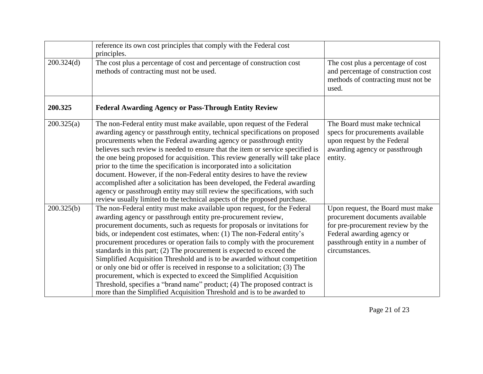|            | reference its own cost principles that comply with the Federal cost<br>principles.                                                                                                                                                                                                                                                                                                                                                                                                                                                                                                                                                                                                                                                                                                                                                                |                                                                                                                                                                                                |
|------------|---------------------------------------------------------------------------------------------------------------------------------------------------------------------------------------------------------------------------------------------------------------------------------------------------------------------------------------------------------------------------------------------------------------------------------------------------------------------------------------------------------------------------------------------------------------------------------------------------------------------------------------------------------------------------------------------------------------------------------------------------------------------------------------------------------------------------------------------------|------------------------------------------------------------------------------------------------------------------------------------------------------------------------------------------------|
| 200.324(d) | The cost plus a percentage of cost and percentage of construction cost<br>methods of contracting must not be used.                                                                                                                                                                                                                                                                                                                                                                                                                                                                                                                                                                                                                                                                                                                                | The cost plus a percentage of cost<br>and percentage of construction cost<br>methods of contracting must not be<br>used.                                                                       |
| 200.325    | <b>Federal Awarding Agency or Pass-Through Entity Review</b>                                                                                                                                                                                                                                                                                                                                                                                                                                                                                                                                                                                                                                                                                                                                                                                      |                                                                                                                                                                                                |
| 200.325(a) | The non-Federal entity must make available, upon request of the Federal<br>awarding agency or passthrough entity, technical specifications on proposed<br>procurements when the Federal awarding agency or passthrough entity<br>believes such review is needed to ensure that the item or service specified is<br>the one being proposed for acquisition. This review generally will take place<br>prior to the time the specification is incorporated into a solicitation<br>document. However, if the non-Federal entity desires to have the review<br>accomplished after a solicitation has been developed, the Federal awarding<br>agency or passthrough entity may still review the specifications, with such<br>review usually limited to the technical aspects of the proposed purchase.                                                  | The Board must make technical<br>specs for procurements available<br>upon request by the Federal<br>awarding agency or passthrough<br>entity.                                                  |
| 200.325(b) | The non-Federal entity must make available upon request, for the Federal<br>awarding agency or passthrough entity pre-procurement review,<br>procurement documents, such as requests for proposals or invitations for<br>bids, or independent cost estimates, when: (1) The non-Federal entity's<br>procurement procedures or operation fails to comply with the procurement<br>standards in this part; $(2)$ The procurement is expected to exceed the<br>Simplified Acquisition Threshold and is to be awarded without competition<br>or only one bid or offer is received in response to a solicitation; (3) The<br>procurement, which is expected to exceed the Simplified Acquisition<br>Threshold, specifies a "brand name" product; (4) The proposed contract is<br>more than the Simplified Acquisition Threshold and is to be awarded to | Upon request, the Board must make<br>procurement documents available<br>for pre-procurement review by the<br>Federal awarding agency or<br>passthrough entity in a number of<br>circumstances. |

Page 21 of 23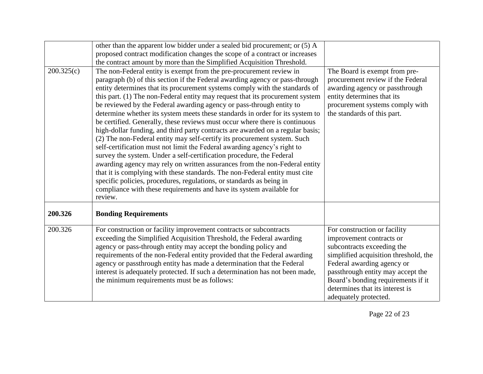|            | other than the apparent low bidder under a sealed bid procurement; or (5) A     |                                       |
|------------|---------------------------------------------------------------------------------|---------------------------------------|
|            | proposed contract modification changes the scope of a contract or increases     |                                       |
|            | the contract amount by more than the Simplified Acquisition Threshold.          |                                       |
| 200.325(c) | The non-Federal entity is exempt from the pre-procurement review in             | The Board is exempt from pre-         |
|            | paragraph (b) of this section if the Federal awarding agency or pass-through    | procurement review if the Federal     |
|            | entity determines that its procurement systems comply with the standards of     | awarding agency or passthrough        |
|            | this part. (1) The non-Federal entity may request that its procurement system   | entity determines that its            |
|            | be reviewed by the Federal awarding agency or pass-through entity to            | procurement systems comply with       |
|            | determine whether its system meets these standards in order for its system to   | the standards of this part.           |
|            | be certified. Generally, these reviews must occur where there is continuous     |                                       |
|            | high-dollar funding, and third party contracts are awarded on a regular basis;  |                                       |
|            | (2) The non-Federal entity may self-certify its procurement system. Such        |                                       |
|            | self-certification must not limit the Federal awarding agency's right to        |                                       |
|            | survey the system. Under a self-certification procedure, the Federal            |                                       |
|            | awarding agency may rely on written assurances from the non-Federal entity      |                                       |
|            | that it is complying with these standards. The non-Federal entity must cite     |                                       |
|            | specific policies, procedures, regulations, or standards as being in            |                                       |
|            | compliance with these requirements and have its system available for<br>review. |                                       |
| 200.326    | <b>Bonding Requirements</b>                                                     |                                       |
|            |                                                                                 |                                       |
| 200.326    | For construction or facility improvement contracts or subcontracts              | For construction or facility          |
|            | exceeding the Simplified Acquisition Threshold, the Federal awarding            | improvement contracts or              |
|            | agency or pass-through entity may accept the bonding policy and                 | subcontracts exceeding the            |
|            | requirements of the non-Federal entity provided that the Federal awarding       | simplified acquisition threshold, the |
|            | agency or passthrough entity has made a determination that the Federal          | Federal awarding agency or            |
|            | interest is adequately protected. If such a determination has not been made,    | passthrough entity may accept the     |
|            | the minimum requirements must be as follows:                                    | Board's bonding requirements if it    |
|            |                                                                                 | determines that its interest is       |
|            |                                                                                 | adequately protected.                 |

Page 22 of 23